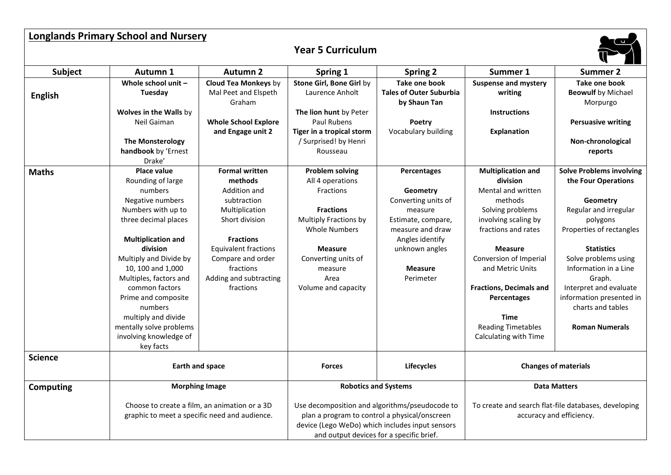| <b>Longlands Primary School and Nursery</b> |                                                                                                                                                                                                                                                                                                                                                                                               |                                                                                                                                                                                                                                 |                                                                                                                                                                                                                        |                                                                                                                                                                         |                                                                                                                                                                                                                                                                                                                                 |                                                                                                                                                                                                                                                                                                                  |  |
|---------------------------------------------|-----------------------------------------------------------------------------------------------------------------------------------------------------------------------------------------------------------------------------------------------------------------------------------------------------------------------------------------------------------------------------------------------|---------------------------------------------------------------------------------------------------------------------------------------------------------------------------------------------------------------------------------|------------------------------------------------------------------------------------------------------------------------------------------------------------------------------------------------------------------------|-------------------------------------------------------------------------------------------------------------------------------------------------------------------------|---------------------------------------------------------------------------------------------------------------------------------------------------------------------------------------------------------------------------------------------------------------------------------------------------------------------------------|------------------------------------------------------------------------------------------------------------------------------------------------------------------------------------------------------------------------------------------------------------------------------------------------------------------|--|
|                                             |                                                                                                                                                                                                                                                                                                                                                                                               |                                                                                                                                                                                                                                 | <b>Year 5 Curriculum</b>                                                                                                                                                                                               |                                                                                                                                                                         |                                                                                                                                                                                                                                                                                                                                 |                                                                                                                                                                                                                                                                                                                  |  |
| <b>Subject</b>                              | Autumn 1                                                                                                                                                                                                                                                                                                                                                                                      | <b>Autumn 2</b>                                                                                                                                                                                                                 | Spring 1                                                                                                                                                                                                               | <b>Spring 2</b>                                                                                                                                                         | Summer 1                                                                                                                                                                                                                                                                                                                        | <b>Summer 2</b>                                                                                                                                                                                                                                                                                                  |  |
| <b>English</b>                              | Whole school unit $-$<br>Tuesday<br>Wolves in the Walls by<br>Neil Gaiman<br><b>The Monsterology</b><br>handbook by 'Ernest                                                                                                                                                                                                                                                                   | <b>Cloud Tea Monkeys by</b><br>Mal Peet and Elspeth<br>Graham<br><b>Whole School Explore</b><br>and Engage unit 2                                                                                                               | Stone Girl, Bone Girl by<br>Laurence Anholt<br>The lion hunt by Peter<br>Paul Rubens<br>Tiger in a tropical storm<br>/ Surprised! by Henri<br>Rousseau                                                                 | Take one book<br><b>Tales of Outer Suburbia</b><br>by Shaun Tan<br>Poetry<br>Vocabulary building                                                                        | <b>Suspense and mystery</b><br>writing<br><b>Instructions</b><br><b>Explanation</b>                                                                                                                                                                                                                                             | Take one book<br><b>Beowulf</b> by Michael<br>Morpurgo<br><b>Persuasive writing</b><br>Non-chronological<br>reports                                                                                                                                                                                              |  |
| <b>Maths</b>                                | Drake'<br><b>Place value</b><br>Rounding of large<br>numbers<br>Negative numbers<br>Numbers with up to<br>three decimal places<br><b>Multiplication and</b><br>division<br>Multiply and Divide by<br>10, 100 and 1,000<br>Multiples, factors and<br>common factors<br>Prime and composite<br>numbers<br>multiply and divide<br>mentally solve problems<br>involving knowledge of<br>key facts | <b>Formal written</b><br>methods<br>Addition and<br>subtraction<br>Multiplication<br>Short division<br><b>Fractions</b><br><b>Equivalent fractions</b><br>Compare and order<br>fractions<br>Adding and subtracting<br>fractions | <b>Problem solving</b><br>All 4 operations<br>Fractions<br><b>Fractions</b><br><b>Multiply Fractions by</b><br><b>Whole Numbers</b><br><b>Measure</b><br>Converting units of<br>measure<br>Area<br>Volume and capacity | Percentages<br>Geometry<br>Converting units of<br>measure<br>Estimate, compare,<br>measure and draw<br>Angles identify<br>unknown angles<br><b>Measure</b><br>Perimeter | <b>Multiplication and</b><br>division<br>Mental and written<br>methods<br>Solving problems<br>involving scaling by<br>fractions and rates<br><b>Measure</b><br>Conversion of Imperial<br>and Metric Units<br><b>Fractions, Decimals and</b><br>Percentages<br><b>Time</b><br><b>Reading Timetables</b><br>Calculating with Time | Solve Problems involving<br>the Four Operations<br>Geometry<br>Regular and irregular<br>polygons<br>Properties of rectangles<br><b>Statistics</b><br>Solve problems using<br>Information in a Line<br>Graph.<br>Interpret and evaluate<br>information presented in<br>charts and tables<br><b>Roman Numerals</b> |  |
| <b>Science</b>                              |                                                                                                                                                                                                                                                                                                                                                                                               | Earth and space                                                                                                                                                                                                                 |                                                                                                                                                                                                                        | <b>Lifecycles</b>                                                                                                                                                       | <b>Changes of materials</b>                                                                                                                                                                                                                                                                                                     |                                                                                                                                                                                                                                                                                                                  |  |
| <b>Computing</b>                            |                                                                                                                                                                                                                                                                                                                                                                                               | <b>Morphing Image</b>                                                                                                                                                                                                           |                                                                                                                                                                                                                        | <b>Robotics and Systems</b>                                                                                                                                             |                                                                                                                                                                                                                                                                                                                                 | <b>Data Matters</b>                                                                                                                                                                                                                                                                                              |  |
|                                             | Choose to create a film, an animation or a 3D<br>graphic to meet a specific need and audience.                                                                                                                                                                                                                                                                                                |                                                                                                                                                                                                                                 | Use decomposition and algorithms/pseudocode to<br>plan a program to control a physical/onscreen<br>device (Lego WeDo) which includes input sensors<br>and output devices for a specific brief.                         |                                                                                                                                                                         | To create and search flat-file databases, developing<br>accuracy and efficiency.                                                                                                                                                                                                                                                |                                                                                                                                                                                                                                                                                                                  |  |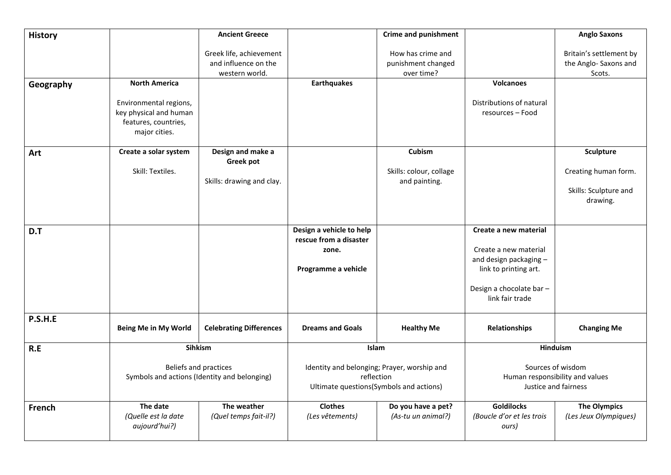| <b>History</b> |                                                                                           | <b>Ancient Greece</b>                                             |                                                                                                      | <b>Crime and punishment</b>                           |                                                                                                                         | <b>Anglo Saxons</b>                                        |
|----------------|-------------------------------------------------------------------------------------------|-------------------------------------------------------------------|------------------------------------------------------------------------------------------------------|-------------------------------------------------------|-------------------------------------------------------------------------------------------------------------------------|------------------------------------------------------------|
|                |                                                                                           | Greek life, achievement<br>and influence on the<br>western world. |                                                                                                      | How has crime and<br>punishment changed<br>over time? |                                                                                                                         | Britain's settlement by<br>the Anglo- Saxons and<br>Scots. |
| Geography      | <b>North America</b>                                                                      |                                                                   | <b>Earthquakes</b>                                                                                   |                                                       | <b>Volcanoes</b>                                                                                                        |                                                            |
|                | Environmental regions,<br>key physical and human<br>features, countries,<br>major cities. |                                                                   |                                                                                                      |                                                       | Distributions of natural<br>resources - Food                                                                            |                                                            |
| Art            | Create a solar system                                                                     | Design and make a                                                 |                                                                                                      | Cubism                                                |                                                                                                                         | Sculpture                                                  |
|                | Skill: Textiles.                                                                          | <b>Greek pot</b><br>Skills: drawing and clay.                     |                                                                                                      | Skills: colour, collage<br>and painting.              |                                                                                                                         | Creating human form.<br>Skills: Sculpture and<br>drawing.  |
| D.T            |                                                                                           |                                                                   | Design a vehicle to help                                                                             |                                                       | Create a new material                                                                                                   |                                                            |
|                |                                                                                           |                                                                   | rescue from a disaster<br>zone.<br>Programme a vehicle                                               |                                                       | Create a new material<br>and design packaging -<br>link to printing art.<br>Design a chocolate bar -<br>link fair trade |                                                            |
| P.S.H.E        | <b>Being Me in My World</b>                                                               | <b>Celebrating Differences</b>                                    | <b>Dreams and Goals</b>                                                                              | <b>Healthy Me</b>                                     | Relationships                                                                                                           | <b>Changing Me</b>                                         |
| R.E            | Sihkism                                                                                   |                                                                   | Islam                                                                                                |                                                       | Hinduism                                                                                                                |                                                            |
|                | Beliefs and practices<br>Symbols and actions (Identity and belonging)                     |                                                                   | Identity and belonging; Prayer, worship and<br>reflection<br>Ultimate questions(Symbols and actions) |                                                       | Sources of wisdom<br>Human responsibility and values<br>Justice and fairness                                            |                                                            |
| <b>French</b>  | The date<br>(Quelle est la date<br>aujourd'hui?)                                          | The weather<br>(Quel temps fait-il?)                              | <b>Clothes</b><br>(Les vêtements)                                                                    | Do you have a pet?<br>(As-tu un animal?)              | <b>Goldilocks</b><br>(Boucle d'or et les trois<br>ours)                                                                 | <b>The Olympics</b><br>(Les Jeux Olympiques)               |